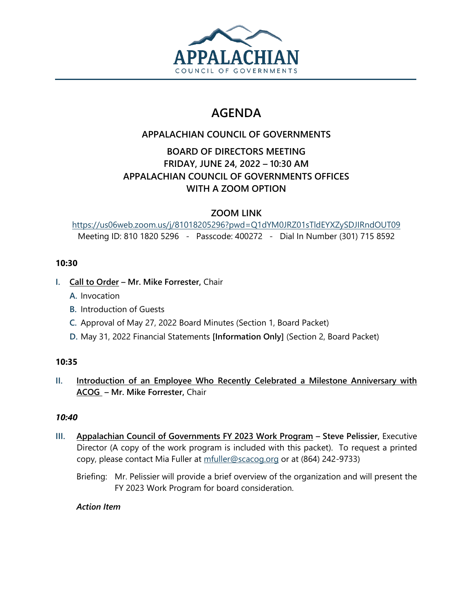

# **AGENDA**

# **APPALACHIAN COUNCIL OF GOVERNMENTS**

# **BOARD OF DIRECTORS MEETING FRIDAY, JUNE 24, 2022 – 10:30 AM APPALACHIAN COUNCIL OF GOVERNMENTS OFFICES WITH A ZOOM OPTION**

## **ZOOM LINK**

<https://us06web.zoom.us/j/81018205296?pwd=Q1dYM0JRZ01sTldEYXZySDJIRndOUT09> Meeting ID: 810 1820 5296 - Passcode: 400272 - Dial In Number (301) 715 8592

## **10:30**

- **I. Call to Order – Mr. Mike Forrester,** Chair
	- **A.** Invocation
	- **B.** Introduction of Guests
	- **C.** Approval of May 27, 2022 Board Minutes (Section 1, Board Packet)
	- **D.** May 31, 2022 Financial Statements **[Information Only]** (Section 2, Board Packet)

## **10:35**

**II. Introduction of an Employee Who Recently Celebrated a Milestone Anniversary with ACOG – Mr. Mike Forrester,** Chair

## *10:40*

- **III. Appalachian Council of Governments FY 2023 Work Program – Steve Pelissier,** Executive Director (A copy of the work program is included with this packet). To request a printed copy, please contact Mia Fuller at [mfuller@scacog.org](mailto:mfuller@scacog.org) or at (864) 242-9733)
	- Briefing: Mr. Pelissier will provide a brief overview of the organization and will present the FY 2023 Work Program for board consideration.

## *Action Item*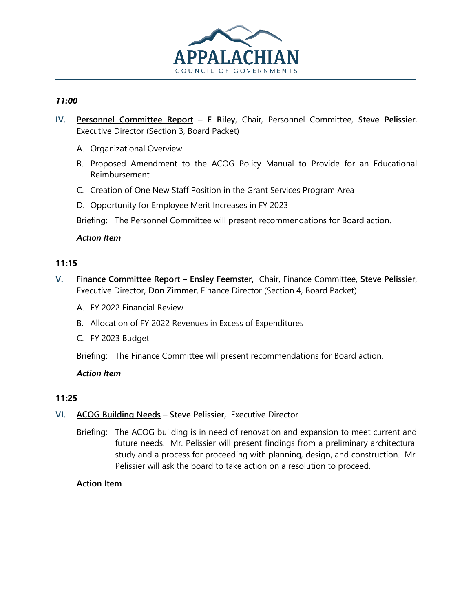

#### *11:00*

- **IV. Personnel Committee Report – E Riley**, Chair, Personnel Committee, **Steve Pelissier**, Executive Director (Section 3, Board Packet)
	- A. Organizational Overview
	- B. Proposed Amendment to the ACOG Policy Manual to Provide for an Educational Reimbursement
	- C. Creation of One New Staff Position in the Grant Services Program Area
	- D. Opportunity for Employee Merit Increases in FY 2023

Briefing: The Personnel Committee will present recommendations for Board action.

#### *Action Item*

#### **11:15**

- **V. Finance Committee Report – Ensley Feemster,** Chair, Finance Committee, **Steve Pelissier**, Executive Director, **Don Zimmer**, Finance Director (Section 4, Board Packet)
	- A. FY 2022 Financial Review
	- B. Allocation of FY 2022 Revenues in Excess of Expenditures
	- C. FY 2023 Budget

Briefing: The Finance Committee will present recommendations for Board action.

#### *Action Item*

#### **11:25**

- **VI. ACOG Building Needs – Steve Pelissier,** Executive Director
	- Briefing: The ACOG building is in need of renovation and expansion to meet current and future needs. Mr. Pelissier will present findings from a preliminary architectural study and a process for proceeding with planning, design, and construction. Mr. Pelissier will ask the board to take action on a resolution to proceed.

#### **Action Item**